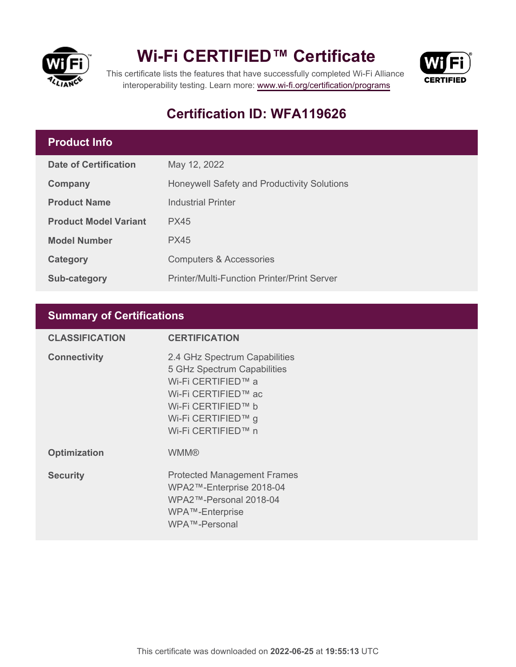

## **Wi-Fi CERTIFIED™ Certificate**



This certificate lists the features that have successfully completed Wi-Fi Alliance interoperability testing. Learn more:<www.wi-fi.org/certification/programs>

### **Certification ID: WFA119626**

#### **Product Info**

| <b>Date of Certification</b> | May 12, 2022                                       |
|------------------------------|----------------------------------------------------|
| Company                      | Honeywell Safety and Productivity Solutions        |
| <b>Product Name</b>          | <b>Industrial Printer</b>                          |
| <b>Product Model Variant</b> | PX45                                               |
| <b>Model Number</b>          | PX45                                               |
| Category                     | <b>Computers &amp; Accessories</b>                 |
| <b>Sub-category</b>          | <b>Printer/Multi-Function Printer/Print Server</b> |

#### **Summary of Certifications**

| <b>CLASSIFICATION</b> | <b>CERTIFICATION</b>                                                                                                                                                        |
|-----------------------|-----------------------------------------------------------------------------------------------------------------------------------------------------------------------------|
| <b>Connectivity</b>   | 2.4 GHz Spectrum Capabilities<br>5 GHz Spectrum Capabilities<br>Wi-Fi CERTIFIED™ a<br>Wi-Fi CERTIFIED™ ac<br>Wi-Fi CERTIFIED™ b<br>Wi-Fi CERTIFIED™ g<br>Wi-Fi CERTIFIED™ n |
| <b>Optimization</b>   | <b>WMM®</b>                                                                                                                                                                 |
| <b>Security</b>       | <b>Protected Management Frames</b><br>WPA2™-Enterprise 2018-04<br>WPA2™-Personal 2018-04<br>WPA™-Enterprise<br>WPA™-Personal                                                |